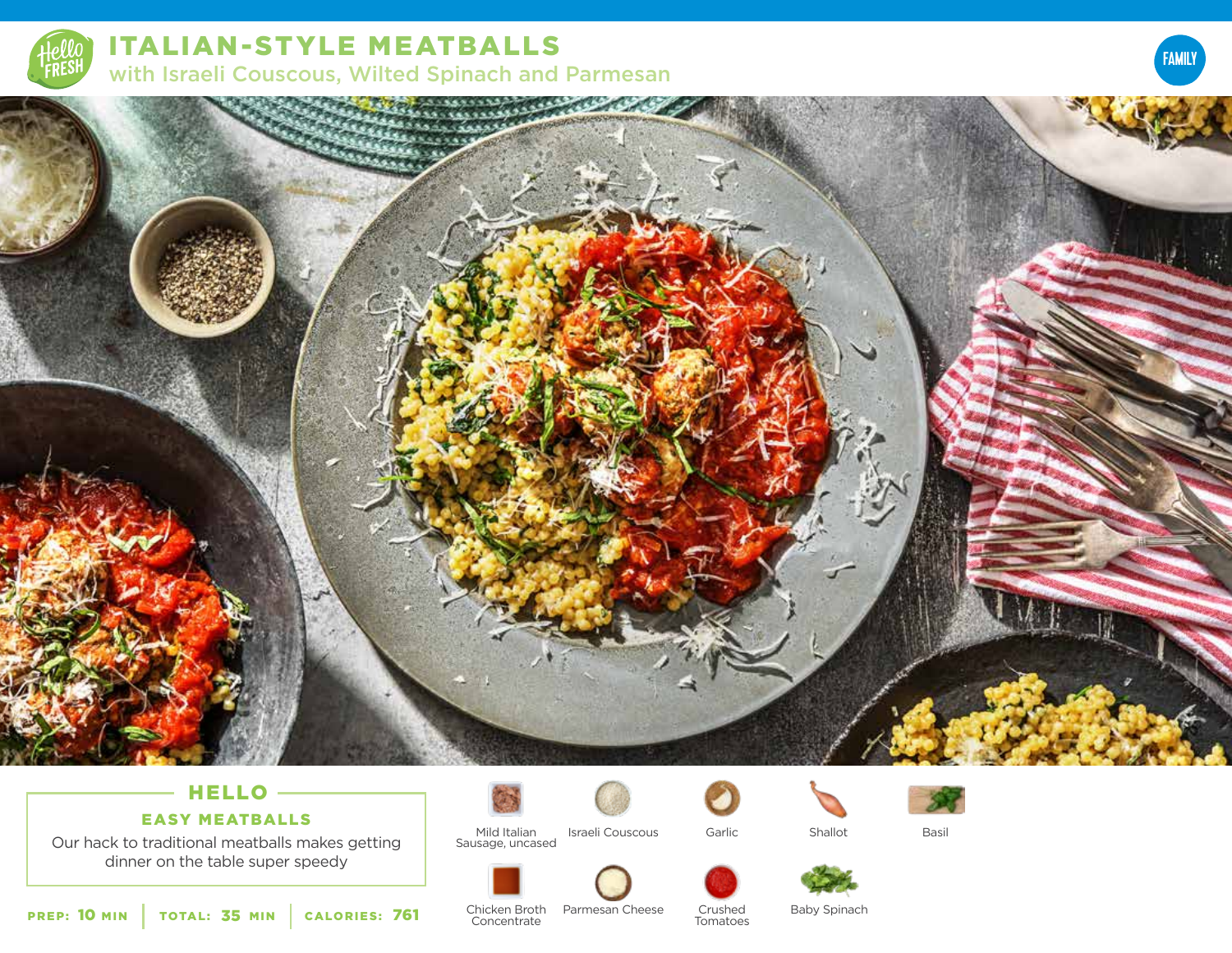

# ITALIAN-STYLE MEATBALLS with Israeli Couscous, Wilted Spinach and Parmesan





# **HELLO**

# EASY MEATBALLS

Our hack to traditional meatballs makes getting dinner on the table super speedy





Israeli Couscous Garlic Shallot Garlic





Basil







PREP: 10 MIN | TOTAL: 35 MIN | CALORIES:

**761** Chicken Broth Parmesan Cheese Crushed Baby Spinach<br>Concentrate Tomatoes **Concentrate**